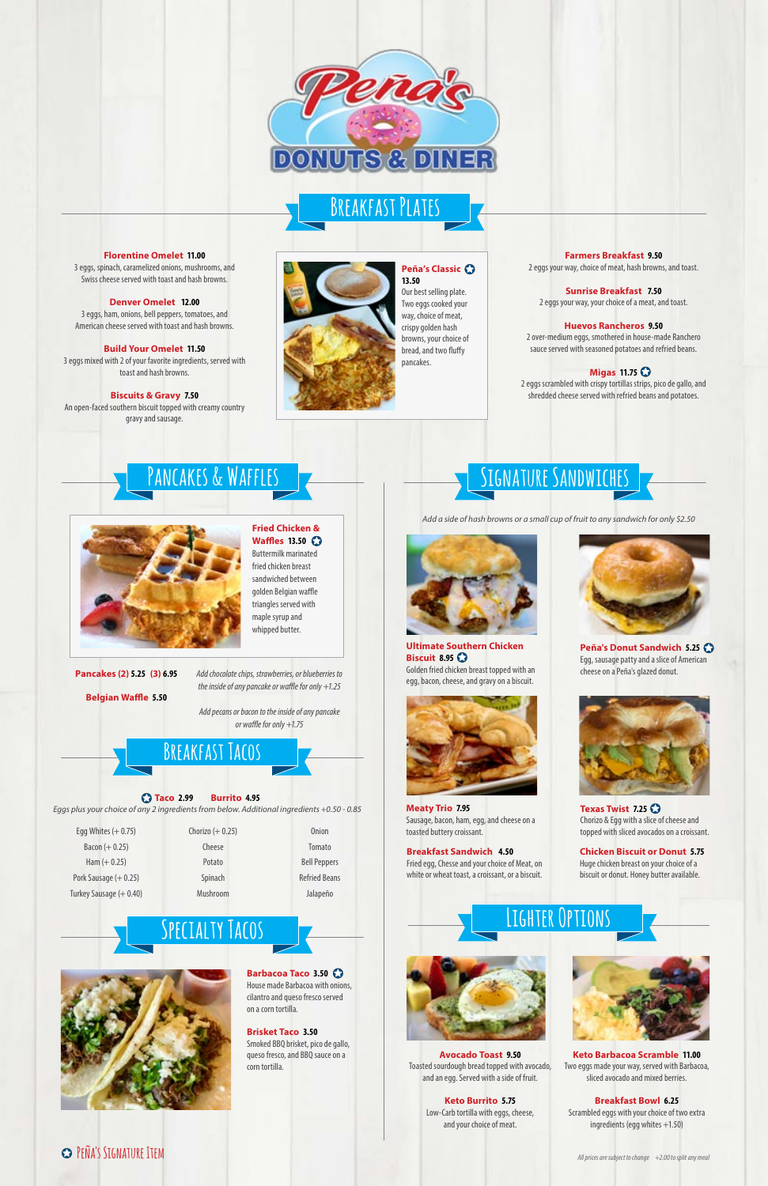### **Taco 2.99 Burrito 4.95**

*Eggs plus your choice of any 2 ingredients from below. Additional ingredients +0.50 - 0.85*

**Barbacoa Taco 3.50** House made Barbacoa with onions, cilantro and queso fresco served on a corn tortilla.

**Brisket Taco 3.50** Smoked BBQ brisket, pico de gallo, queso fresco, and BBQ sauce on a corn tortilla.

### **Florentine Omelet 11.00**

3 eggs, spinach, caramelized onions, mushrooms, and Swiss cheese served with toast and hash browns.

**Denver Omelet 12.00** 3 eggs, ham, onions, bell peppers, tomatoes, and

American cheese served with toast and hash browns.

**Build Your Omelet 11.50** 3 eggs mixed with 2 of your favorite ingredients, served with toast and hash browns.

**Biscuits & Gravy 7.50** An open-faced southern biscuit topped with creamy country gravy and sausage.

### **Farmers Breakfast 9.50**

2 eggs your way, choice of meat, hash browns, and toast.

**Sunrise Breakfast 7.50** 2 eggs your way, your choice of a meat, and toast.

#### **Huevos Rancheros 9.50**

2 over-medium eggs, smothered in house-made Ranchero sauce served with seasoned potatoes and refried beans.

### **Migas 11.75**

2 eggs scrambled with crispy tortillas strips, pico de gallo, and shredded cheese served with refried beans and potatoes.

| Egg Whites $(+ 0.75)$ | Chorizo $(+ 0.25)$ | <b>Onion</b>        |
|-----------------------|--------------------|---------------------|
| Bacon $(+ 0.25)$      | Cheese             | Tomato              |
| Ham $(+ 0.25)$        | Potato             | <b>Bell Peppers</b> |

Spinach Mushroom Refried Beans Jalapeño

**Specialty Tacos**

# **Signature Sandwiches**



**Ultimate Southern Chicken Biscuit 8.95** Golden fried chicken breast topped with an egg, bacon, cheese, and gravy on a biscuit.

## **Pancakes & Waffles**



**Fried Chicken & Waffles 13.50** Buttermilk marinated fried chicken breast sandwiched between golden Belgian waffle triangles served with maple syrup and whipped butter.

**Pancakes (2) 5.25 (3) 6.95**

**Belgian Waffle 5.50**



# **Breakfast Plates**

**Breakfast Sandwich 4.50** Fried egg, Chesse and your choice of Meat, on

white or wheat toast, a croissant, or a biscuit.

## **Peña's Signature Item**



**Peña's Donut Sandwich 5.25** Egg, sausage patty and a slice of American cheese on a Peña's glazed donut.

*All prices are subject to change +2.00 to split any meal*



**Peña's Classic 13.50** Our best selling plate. Two eggs cooked your way, choice of meat, crispy golden hash browns, your choice of bread, and two fluffy pancakes.



**Meaty Trio 7.95** Sausage, bacon, ham, egg, and cheese on a toasted buttery croissant.



**Texas Twist 7.25** Chorizo & Egg with a slice of cheese and topped with sliced avocados on a croissant.

*Add a side of hash browns or a small cup of fruit to any sandwich for only \$2.50*

## *Add chocolate chips, strawberries, or blueberries to*

*the inside of any pancake or waffle for only +1.25* 

*Add pecans or bacon to the inside of any pancake or waffle for only +1.75*

## **BREAKFAST TACO**

**Avocado Toast 9.50** Toasted sourdough bread topped with avocado, and an egg. Served with a side of fruit.

> **Keto Burrito 5.75** Low-Carb tortilla with eggs, cheese, and your choice of meat.



**Keto Barbacoa Scramble 11.00** Two eggs made your way, served with Barbacoa, sliced avocado and mixed berries.

### **Breakfast Bowl 6.25** Scrambled eggs with your choice of two extra ingredients (egg whites +1.50)

**Lighter Options**



**Chicken Biscuit or Donut 5.75** Huge chicken breast on your choice of a

Pork Sausage (+ 0.25) Turkey Sausage (+ 0.40) biscuit or donut. Honey butter available.